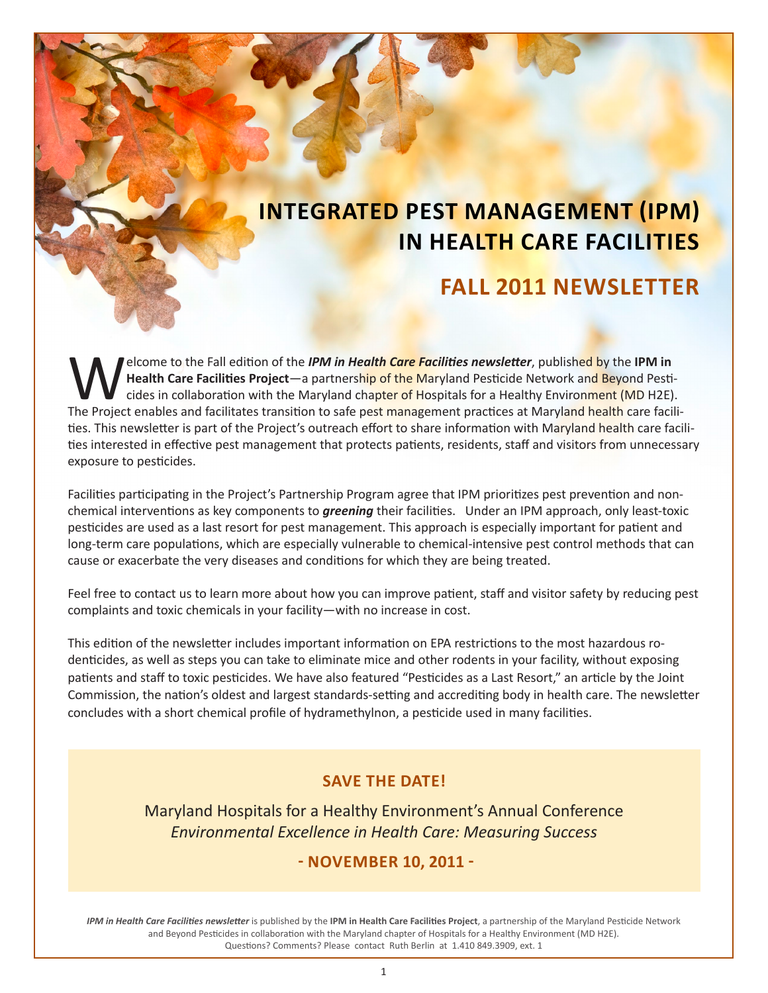# **INTEGRATED PEST MANAGEMENT (IPM) IN HEALTH CARE FACILITIES**

# **FALL 2011 NEWSLETTER**

Elcome to the Fall edition of the *IPM in Health Care Facilities newsletter*, published by the IPM in Health Care Facilities Project—a partnership of the Maryland Pesticide Network and Beyond Pesticides in collaboration wi **Health Care Facilities Project**—a partnership of the Maryland Pesticide Network and Beyond Pesticides in collaboration with the Maryland chapter of Hospitals for a Healthy Environment (MD H2E). The Project enables and facilitates transition to safe pest management practices at Maryland health care facilities. This newsletter is part of the Project's outreach effort to share information with Maryland health care facilities interested in effective pest management that protects patients, residents, staff and visitors from unnecessary exposure to pesticides.

Facilities participating in the Project's Partnership Program agree that IPM prioritizes pest prevention and nonchemical interventions as key components to *greening* their facilities. Under an IPM approach, only least-toxic pesticides are used as a last resort for pest management. This approach is especially important for patient and long-term care populations, which are especially vulnerable to chemical-intensive pest control methods that can cause or exacerbate the very diseases and conditions for which they are being treated.

Feel free to contact us to learn more about how you can improve patient, staff and visitor safety by reducing pest complaints and toxic chemicals in your facility—with no increase in cost.

This edition of the newsletter includes important information on EPA restrictions to the most hazardous rodenticides, as well as steps you can take to eliminate mice and other rodents in your facility, without exposing patients and staff to toxic pesticides. We have also featured "Pesticides as a Last Resort," an article by the Joint Commission, the nation's oldest and largest standards-setting and accrediting body in health care. The newsletter concludes with a short chemical profile of hydramethylnon, a pesticide used in many facilities.

### **SAVE THE DATE!**

Maryland Hospitals for a Healthy Environment's Annual Conference *Environmental Excellence in Health Care: Measuring Success*

 **- NOVEMBER 10, 2011 -**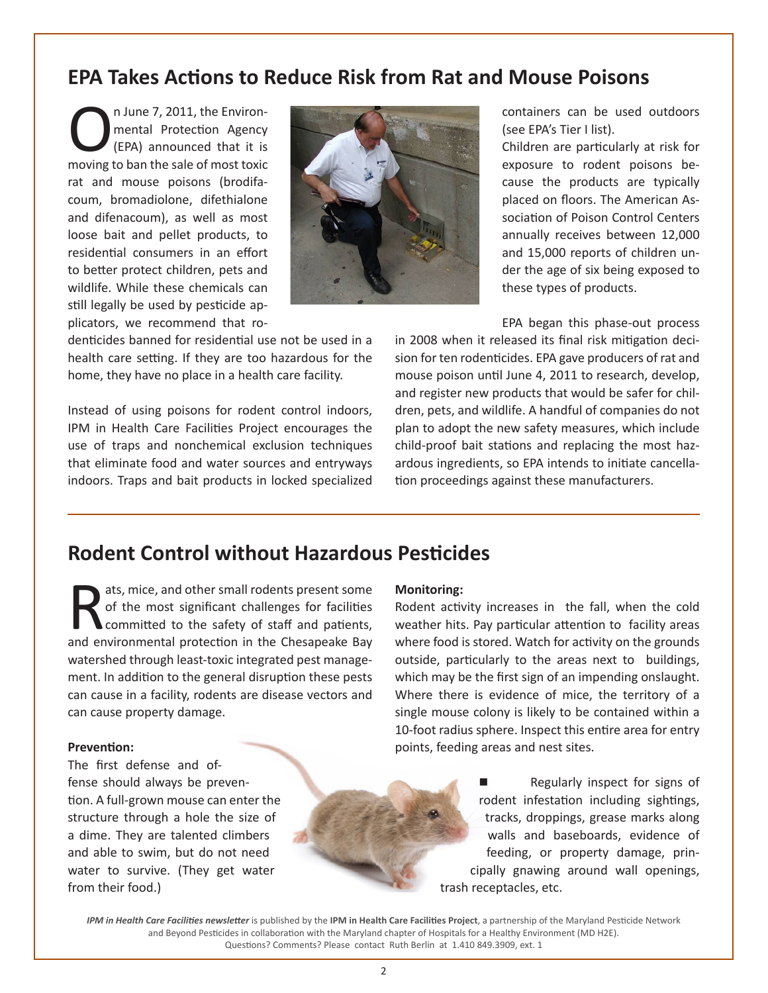# **EPA Takes Actions to Reduce Risk from Rat and Mouse Poisons**

The Britannian Protection Agency<br>
(EPA) announced that it is<br>
moving to ban the sale of most toxic mental Protection Agency (EPA) announced that it is rat and mouse poisons (brodifacoum, bromadiolone, difethialone and difenacoum), as well as most loose bait and pellet products, to residential consumers in an effort to better protect children, pets and wildlife. While these chemicals can still legally be used by pesticide applicators, we recommend that ro-



denticides banned for residential use not be used in a health care setting. If they are too hazardous for the home, they have no place in a health care facility.

Instead of using poisons for rodent control indoors, IPM in Health Care Facilities Project encourages the use of traps and nonchemical exclusion techniques that eliminate food and water sources and entryways indoors. Traps and bait products in locked specialized

containers can be used outdoors (see EPA's Tier I list).

Children are particularly at risk for exposure to rodent poisons because the products are typically placed on floors. The American Association of Poison Control Centers annually receives between 12,000 and 15,000 reports of children under the age of six being exposed to these types of products.

EPA began this phase-out process

in 2008 when it released its final risk mitigation decision for ten rodenticides. EPA gave producers of rat and mouse poison until June 4, 2011 to research, develop, and register new products that would be safer for children, pets, and wildlife. A handful of companies do not plan to adopt the new safety measures, which include child-proof bait stations and replacing the most hazardous ingredients, so EPA intends to initiate cancellation proceedings against these manufacturers.

## **Rodent Control without Hazardous Pesticides**

ats, mice, and other small rodents present some of the most significant challenges for facilities committed to the safety of staff and patients, and environmental protection in the Chesapeake Bay watershed through least-toxic integrated pest management. In addition to the general disruption these pests can cause in a facility, rodents are disease vectors and can cause property damage.

#### **Prevention:**

The first defense and offense should always be prevention. A full-grown mouse can enter the structure through a hole the size of a dime. They are talented climbers and able to swim, but do not need water to survive. (They get water from their food.)

#### **Monitoring:**

Rodent activity increases in the fall, when the cold weather hits. Pay particular attention to facility areas where food is stored. Watch for activity on the grounds outside, particularly to the areas next to buildings, which may be the first sign of an impending onslaught. Where there is evidence of mice, the territory of a single mouse colony is likely to be contained within a 10-foot radius sphere. Inspect this entire area for entry points, feeding areas and nest sites.

> Regularly inspect for signs of rodent infestation including sightings, tracks, droppings, grease marks along walls and baseboards, evidence of feeding, or property damage, principally gnawing around wall openings, trash receptacles, etc.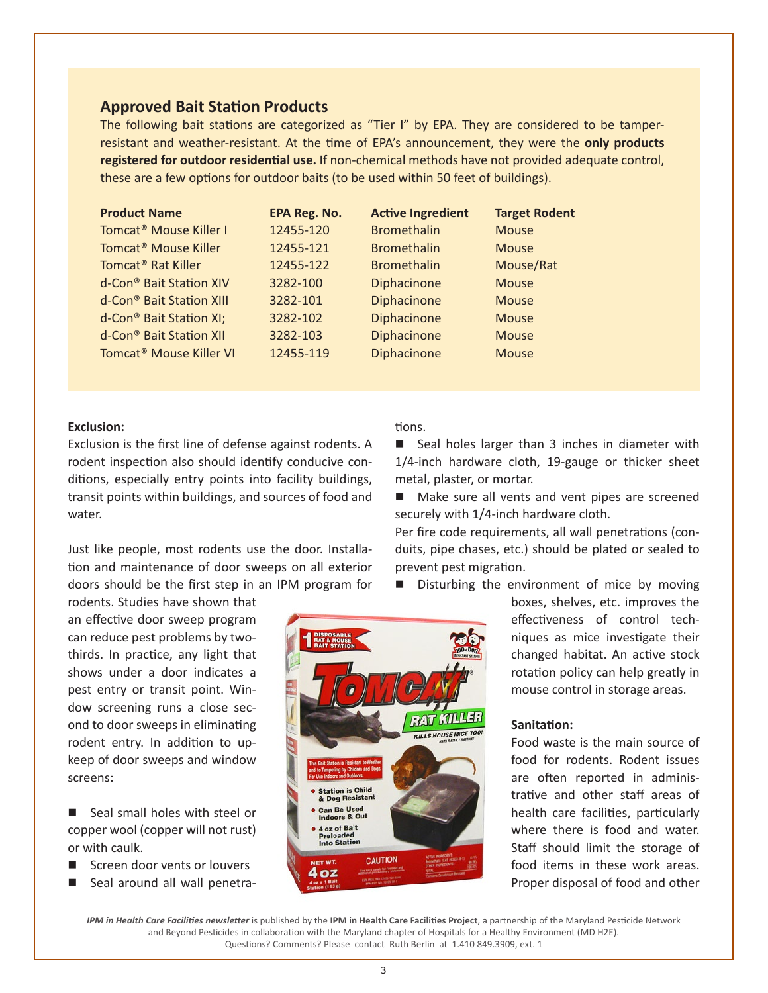#### **Approved Bait Station Products**

The following bait stations are categorized as "Tier I" by EPA. They are considered to be tamperresistant and weather-resistant. At the time of EPA's announcement, they were the **only products registered for outdoor residential use.** If non-chemical methods have not provided adequate control, these are a few options for outdoor baits (to be used within 50 feet of buildings).

| <b>Product Name</b>                  | <b>EPA Reg. No.</b> | <b>Active Ingredient</b> | <b>Target Rodent</b> |
|--------------------------------------|---------------------|--------------------------|----------------------|
| Tomcat <sup>®</sup> Mouse Killer I   | 12455-120           | <b>Bromethalin</b>       | <b>Mouse</b>         |
| Tomcat <sup>®</sup> Mouse Killer     | 12455-121           | <b>Bromethalin</b>       | <b>Mouse</b>         |
| Tomcat <sup>®</sup> Rat Killer       | 12455-122           | <b>Bromethalin</b>       | Mouse/Rat            |
| d-Con <sup>®</sup> Bait Station XIV  | 3282-100            | Diphacinone              | <b>Mouse</b>         |
| d-Con <sup>®</sup> Bait Station XIII | 3282-101            | Diphacinone              | <b>Mouse</b>         |
| d-Con <sup>®</sup> Bait Station XI;  | 3282-102            | Diphacinone              | <b>Mouse</b>         |
| d-Con <sup>®</sup> Bait Station XII  | 3282-103            | Diphacinone              | <b>Mouse</b>         |
| Tomcat <sup>®</sup> Mouse Killer VI  | 12455-119           | Diphacinone              | <b>Mouse</b>         |

#### **Exclusion:**

Exclusion is the first line of defense against rodents. A rodent inspection also should identify conducive conditions, especially entry points into facility buildings, transit points within buildings, and sources of food and water.

Just like people, most rodents use the door. Installation and maintenance of door sweeps on all exterior doors should be the first step in an IPM program for

rodents. Studies have shown that an effective door sweep program can reduce pest problems by twothirds. In practice, any light that shows under a door indicates a pest entry or transit point. Window screening runs a close second to door sweeps in eliminating rodent entry. In addition to upkeep of door sweeps and window screens:

■ Seal small holes with steel or copper wool (copper will not rust) or with caulk.

- Screen door vents or louvers
- Seal around all wall penetra-

tions.

Seal holes larger than 3 inches in diameter with 1/4-inch hardware cloth, 19-gauge or thicker sheet metal, plaster, or mortar.

 $\blacksquare$  Make sure all vents and vent pipes are screened securely with 1/4-inch hardware cloth.

Per fire code requirements, all wall penetrations (conduits, pipe chases, etc.) should be plated or sealed to prevent pest migration.

Disturbing the environment of mice by moving

boxes, shelves, etc. improves the effectiveness of control techniques as mice investigate their changed habitat. An active stock rotation policy can help greatly in mouse control in storage areas.

#### **Sanitation:**

**KILLS HOUSE MICE TOO** 

Food waste is the main source of food for rodents. Rodent issues are often reported in administrative and other staff areas of health care facilities, particularly where there is food and water. Staff should limit the storage of food items in these work areas. Proper disposal of food and other

*IPM in Health Care Facilities newsletter* is published by the **IPM in Health Care Facilities Project**, a partnership of the Maryland Pesticide Network and Beyond Pesticides in collaboration with the Maryland chapter of Hospitals for a Healthy Environment (MD H2E). Questions? Comments? Please contact Ruth Berlin at 1.410 849.3909, ext. 1

**CAUTION** 

**Station is Child<br>& Dog Resistant Can Be Used<br>Indoors & Out** 4 oz of Bait Prelo **Into Station** 

oz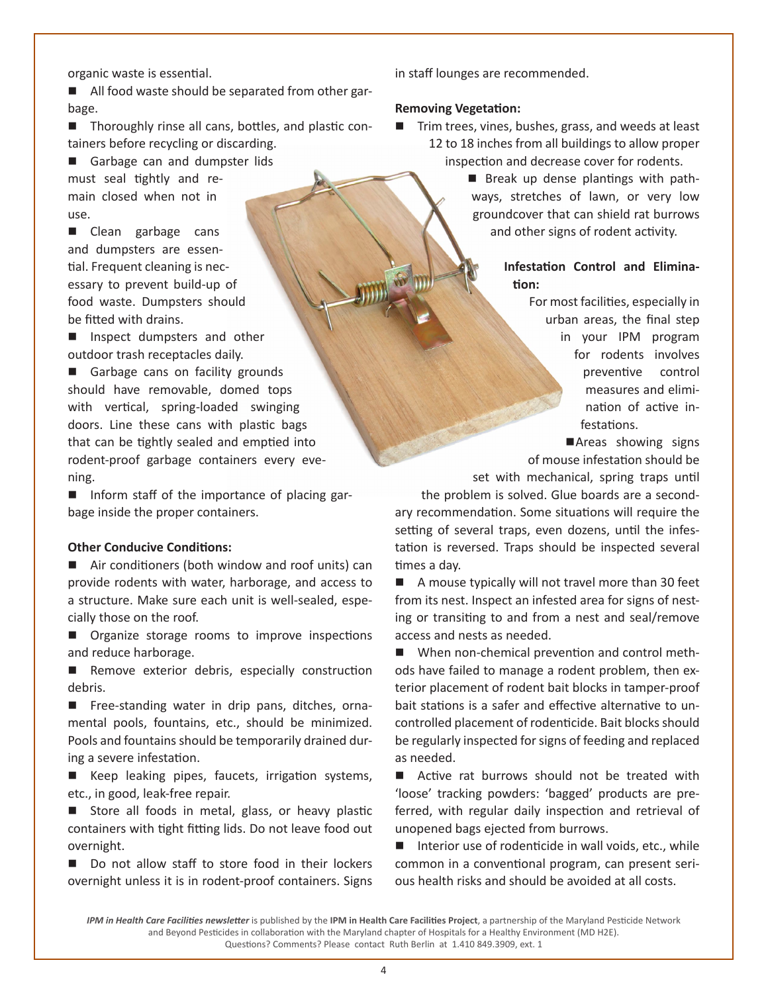organic waste is essential.

■ All food waste should be separated from other garbage.

 $\blacksquare$  Thoroughly rinse all cans, bottles, and plastic containers before recycling or discarding.

Garbage can and dumpster lids must seal tightly and remain closed when not in use.

■ Clean garbage cans and dumpsters are essential. Frequent cleaning is necessary to prevent build-up of food waste. Dumpsters should be fitted with drains.

**n** Inspect dumpsters and other outdoor trash receptacles daily.

Garbage cans on facility grounds should have removable, domed tops with vertical, spring-loaded swinging doors. Line these cans with plastic bags that can be tightly sealed and emptied into rodent-proof garbage containers every evening.

■ Inform staff of the importance of placing garbage inside the proper containers.

#### **Other Conducive Conditions:**

 $\blacksquare$  Air conditioners (both window and roof units) can provide rodents with water, harborage, and access to a structure. Make sure each unit is well-sealed, especially those on the roof.

**n** Organize storage rooms to improve inspections and reduce harborage.

**n** Remove exterior debris, especially construction debris.

■ Free-standing water in drip pans, ditches, ornamental pools, fountains, etc., should be minimized. Pools and fountains should be temporarily drained during a severe infestation.

■ Keep leaking pipes, faucets, irrigation systems, etc., in good, leak-free repair.

Store all foods in metal, glass, or heavy plastic containers with tight fitting lids. Do not leave food out overnight.

Do not allow staff to store food in their lockers overnight unless it is in rodent-proof containers. Signs

in staff lounges are recommended.

#### **Removing Vegetation:**

- Trim trees, vines, bushes, grass, and weeds at least 12 to 18 inches from all buildings to allow proper inspection and decrease cover for rodents.
	- **n** Break up dense plantings with pathways, stretches of lawn, or very low groundcover that can shield rat burrows and other signs of rodent activity.

**Infestation Control and Elimination:**

> For most facilities, especially in urban areas, the final step in your IPM program for rodents involves preventive control measures and elimination of active infestations.

> Areas showing signs of mouse infestation should be

set with mechanical, spring traps until

the problem is solved. Glue boards are a secondary recommendation. Some situations will require the setting of several traps, even dozens, until the infestation is reversed. Traps should be inspected several times a day.

 $\blacksquare$  A mouse typically will not travel more than 30 feet from its nest. Inspect an infested area for signs of nesting or transiting to and from a nest and seal/remove access and nests as needed.

 $\blacksquare$  When non-chemical prevention and control methods have failed to manage a rodent problem, then exterior placement of rodent bait blocks in tamper-proof bait stations is a safer and effective alternative to uncontrolled placement of rodenticide. Bait blocks should be regularly inspected for signs of feeding and replaced as needed.

 $\blacksquare$  Active rat burrows should not be treated with 'loose' tracking powders: 'bagged' products are preferred, with regular daily inspection and retrieval of unopened bags ejected from burrows.

 $\blacksquare$  Interior use of rodenticide in wall voids, etc., while common in a conventional program, can present serious health risks and should be avoided at all costs.

*IPM in Health Care Facilities newsletter* is published by the **IPM in Health Care Facilities Project**, a partnership of the Maryland Pesticide Network and Beyond Pesticides in collaboration with the Maryland chapter of Hospitals for a Healthy Environment (MD H2E). Questions? Comments? Please contact Ruth Berlin at 1.410 849.3909, ext. 1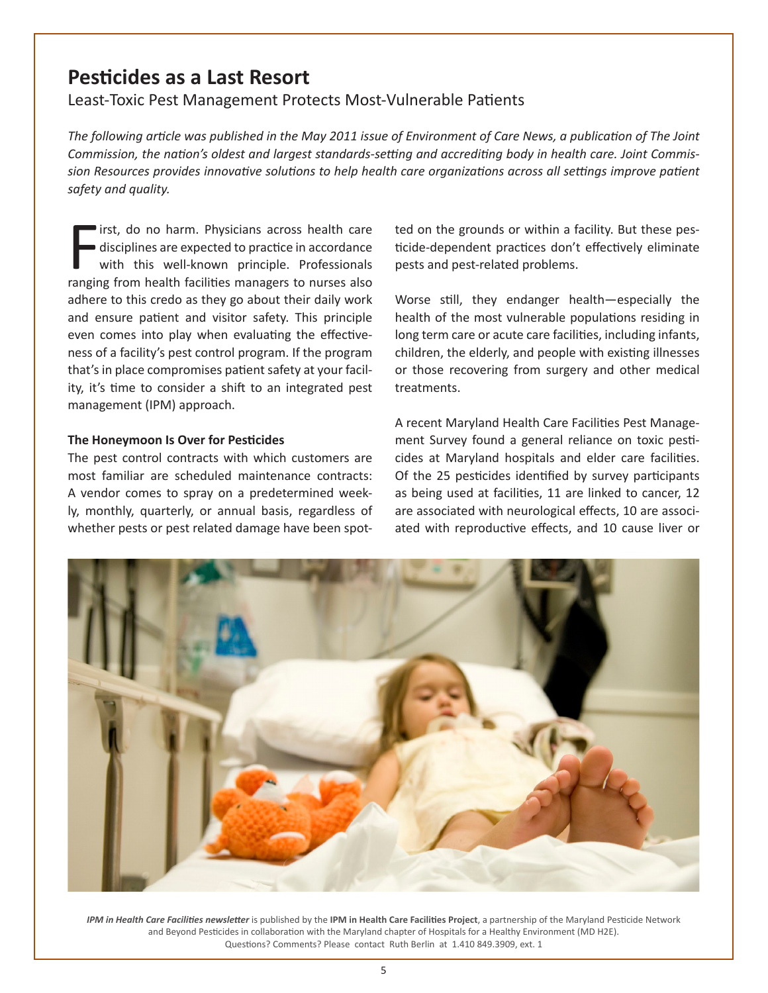### **Pesticides as a Last Resort**

Least-Toxic Pest Management Protects Most-Vulnerable Patients

*The following article was published in the May 2011 issue of Environment of Care News, a publication of The Joint Commission, the nation's oldest and largest standards-setting and accrediting body in health care. Joint Commission Resources provides innovative solutions to help health care organizations across all settings improve patient safety and quality.*

First, do no harm. Physicians across health care<br>disciplines are expected to practice in accordance<br>with this well-known principle. Professionals<br>ranging from health facilities managers to nurses also irst, do no harm. Physicians across health care disciplines are expected to practice in accordance with this well-known principle. Professionals adhere to this credo as they go about their daily work and ensure patient and visitor safety. This principle even comes into play when evaluating the effectiveness of a facility's pest control program. If the program that's in place compromises patient safety at your facility, it's time to consider a shift to an integrated pest management (IPM) approach.

#### **The Honeymoon Is Over for Pesticides**

The pest control contracts with which customers are most familiar are scheduled maintenance contracts: A vendor comes to spray on a predetermined weekly, monthly, quarterly, or annual basis, regardless of whether pests or pest related damage have been spotted on the grounds or within a facility. But these pesticide-dependent practices don't effectively eliminate pests and pest-related problems.

Worse still, they endanger health—especially the health of the most vulnerable populations residing in long term care or acute care facilities, including infants, children, the elderly, and people with existing illnesses or those recovering from surgery and other medical treatments.

A recent Maryland Health Care Facilities Pest Management Survey found a general reliance on toxic pesticides at Maryland hospitals and elder care facilities. Of the 25 pesticides identified by survey participants as being used at facilities, 11 are linked to cancer, 12 are associated with neurological effects, 10 are associated with reproductive effects, and 10 cause liver or

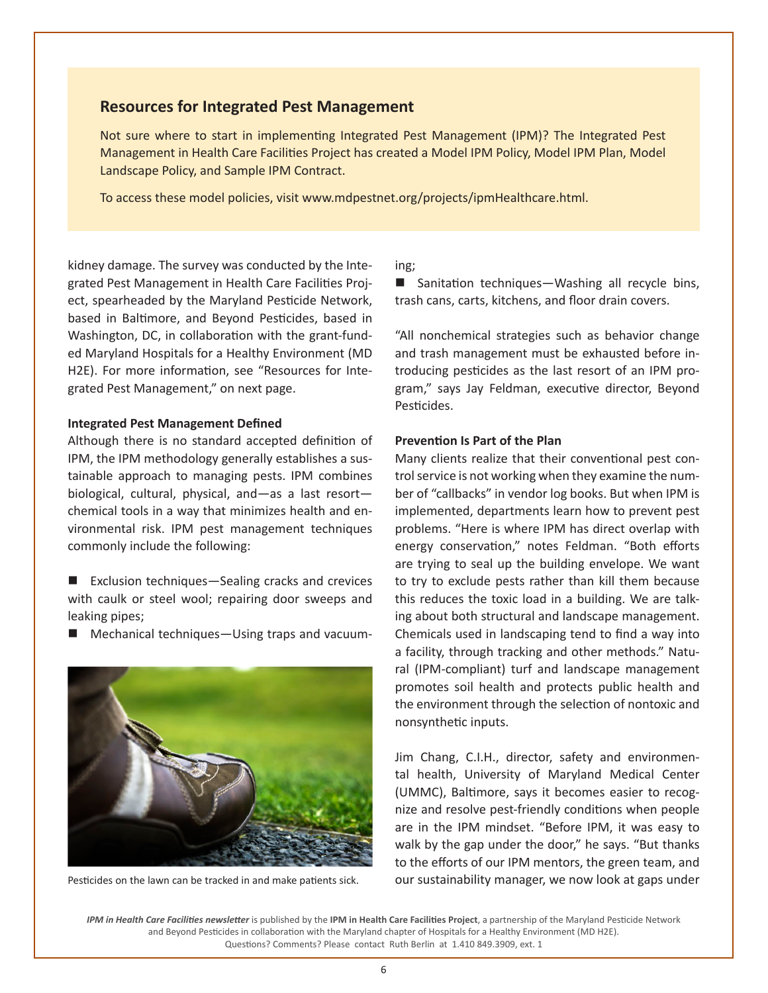#### **Resources for Integrated Pest Management**

Not sure where to start in implementing Integrated Pest Management (IPM)? The Integrated Pest Management in Health Care Facilities Project has created a Model IPM Policy, Model IPM Plan, Model Landscape Policy, and Sample IPM Contract.

To access these model policies, visit www.mdpestnet.org/projects/ipmHealthcare.html.

kidney damage. The survey was conducted by the Integrated Pest Management in Health Care Facilities Project, spearheaded by the Maryland Pesticide Network, based in Baltimore, and Beyond Pesticides, based in Washington, DC, in collaboration with the grant-funded Maryland Hospitals for a Healthy Environment (MD H2E). For more information, see "Resources for Integrated Pest Management," on next page.

#### **Integrated Pest Management Defined**

Although there is no standard accepted definition of IPM, the IPM methodology generally establishes a sustainable approach to managing pests. IPM combines biological, cultural, physical, and—as a last resort chemical tools in a way that minimizes health and environmental risk. IPM pest management techniques commonly include the following:

- Exclusion techniques—Sealing cracks and crevices with caulk or steel wool; repairing door sweeps and leaking pipes;
- n Mechanical techniques—Using traps and vacuum-



Pesticides on the lawn can be tracked in and make patients sick.

#### ing;

■ Sanitation techniques—Washing all recycle bins, trash cans, carts, kitchens, and floor drain covers.

"All nonchemical strategies such as behavior change and trash management must be exhausted before introducing pesticides as the last resort of an IPM program," says Jay Feldman, executive director, Beyond Pesticides.

#### **Prevention Is Part of the Plan**

Many clients realize that their conventional pest control service is not working when they examine the number of "callbacks" in vendor log books. But when IPM is implemented, departments learn how to prevent pest problems. "Here is where IPM has direct overlap with energy conservation," notes Feldman. "Both efforts are trying to seal up the building envelope. We want to try to exclude pests rather than kill them because this reduces the toxic load in a building. We are talking about both structural and landscape management. Chemicals used in landscaping tend to find a way into a facility, through tracking and other methods." Natural (IPM-compliant) turf and landscape management promotes soil health and protects public health and the environment through the selection of nontoxic and nonsynthetic inputs.

Jim Chang, C.I.H., director, safety and environmental health, University of Maryland Medical Center (UMMC), Baltimore, says it becomes easier to recognize and resolve pest-friendly conditions when people are in the IPM mindset. "Before IPM, it was easy to walk by the gap under the door," he says. "But thanks to the efforts of our IPM mentors, the green team, and our sustainability manager, we now look at gaps under

*IPM in Health Care Facilities newsletter* is published by the **IPM in Health Care Facilities Project**, a partnership of the Maryland Pesticide Network and Beyond Pesticides in collaboration with the Maryland chapter of Hospitals for a Healthy Environment (MD H2E). Questions? Comments? Please contact Ruth Berlin at 1.410 849.3909, ext. 1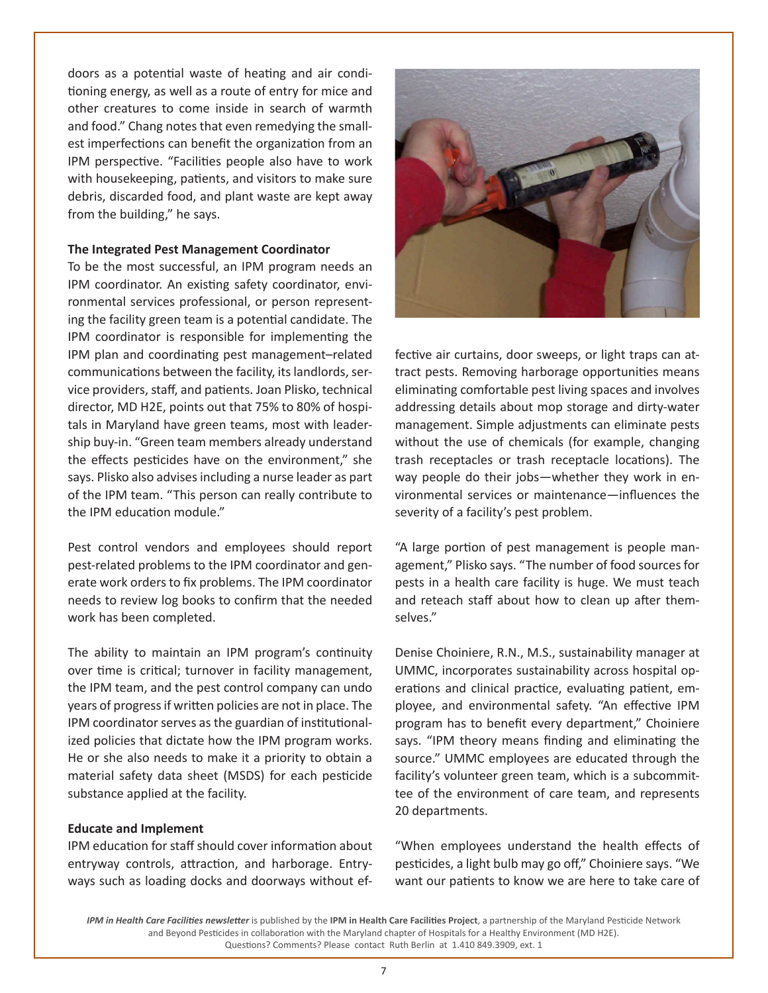doors as a potential waste of heating and air conditioning energy, as well as a route of entry for mice and other creatures to come inside in search of warmth and food." Chang notes that even remedying the smallest imperfections can benefit the organization from an IPM perspective. "Facilities people also have to work with housekeeping, patients, and visitors to make sure debris, discarded food, and plant waste are kept away from the building," he says.

#### **The Integrated Pest Management Coordinator**

To be the most successful, an IPM program needs an IPM coordinator. An existing safety coordinator, environmental services professional, or person representing the facility green team is a potential candidate. The IPM coordinator is responsible for implementing the IPM plan and coordinating pest management–related communications between the facility, its landlords, service providers, staff, and patients. Joan Plisko, technical director, MD H2E, points out that 75% to 80% of hospitals in Maryland have green teams, most with leadership buy-in. "Green team members already understand the effects pesticides have on the environment," she says. Plisko also advises including a nurse leader as part of the IPM team. "This person can really contribute to the IPM education module."

Pest control vendors and employees should report pest-related problems to the IPM coordinator and generate work orders to fix problems. The IPM coordinator needs to review log books to confirm that the needed work has been completed.

The ability to maintain an IPM program's continuity over time is critical; turnover in facility management, the IPM team, and the pest control company can undo years of progress if written policies are not in place. The IPM coordinator serves as the guardian of institutionalized policies that dictate how the IPM program works. He or she also needs to make it a priority to obtain a material safety data sheet (MSDS) for each pesticide substance applied at the facility.

#### **Educate and Implement**

IPM education for staff should cover information about entryway controls, attraction, and harborage. Entryways such as loading docks and doorways without ef-



fective air curtains, door sweeps, or light traps can attract pests. Removing harborage opportunities means eliminating comfortable pest living spaces and involves addressing details about mop storage and dirty-water management. Simple adjustments can eliminate pests without the use of chemicals (for example, changing trash receptacles or trash receptacle locations). The way people do their jobs—whether they work in environmental services or maintenance—influences the severity of a facility's pest problem.

"A large portion of pest management is people management," Plisko says. "The number of food sources for pests in a health care facility is huge. We must teach and reteach staff about how to clean up after themselves."

Denise Choiniere, R.N., M.S., sustainability manager at UMMC, incorporates sustainability across hospital operations and clinical practice, evaluating patient, employee, and environmental safety. "An effective IPM program has to benefit every department," Choiniere says. "IPM theory means finding and eliminating the source." UMMC employees are educated through the facility's volunteer green team, which is a subcommittee of the environment of care team, and represents 20 departments.

"When employees understand the health effects of pesticides, a light bulb may go off," Choiniere says. "We want our patients to know we are here to take care of

*IPM in Health Care Facilities newsletter* is published by the **IPM in Health Care Facilities Project**, a partnership of the Maryland Pesticide Network and Beyond Pesticides in collaboration with the Maryland chapter of Hospitals for a Healthy Environment (MD H2E). Questions? Comments? Please contact Ruth Berlin at 1.410 849.3909, ext. 1